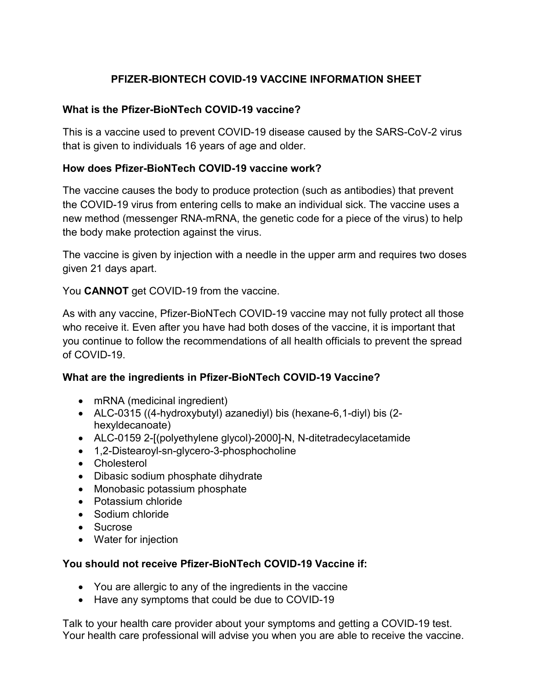# **PFIZER-BIONTECH COVID-19 VACCINE INFORMATION SHEET**

### **What is the Pfizer-BioNTech COVID-19 vaccine?**

This is a vaccine used to prevent COVID-19 disease caused by the SARS-CoV-2 virus that is given to individuals 16 years of age and older.

### **How does Pfizer-BioNTech COVID-19 vaccine work?**

The vaccine causes the body to produce protection (such as antibodies) that prevent the COVID-19 virus from entering cells to make an individual sick. The vaccine uses a new method (messenger RNA-mRNA, the genetic code for a piece of the virus) to help the body make protection against the virus.

The vaccine is given by injection with a needle in the upper arm and requires two doses given 21 days apart.

You **CANNOT** get COVID-19 from the vaccine.

As with any vaccine, Pfizer-BioNTech COVID-19 vaccine may not fully protect all those who receive it. Even after you have had both doses of the vaccine, it is important that you continue to follow the recommendations of all health officials to prevent the spread of COVID-19.

### **What are the ingredients in Pfizer-BioNTech COVID-19 Vaccine?**

- mRNA (medicinal ingredient)
- ALC-0315 ((4-hydroxybutyl) azanediyl) bis (hexane-6,1-diyl) bis (2 hexyldecanoate)
- ALC-0159 2-[(polyethylene glycol)-2000]-N, N-ditetradecylacetamide
- 1,2-Distearoyl-sn-glycero-3-phosphocholine
- Cholesterol
- Dibasic sodium phosphate dihydrate
- Monobasic potassium phosphate
- Potassium chloride
- Sodium chloride
- Sucrose
- Water for injection

### **You should not receive Pfizer-BioNTech COVID-19 Vaccine if:**

- You are allergic to any of the ingredients in the vaccine
- Have any symptoms that could be due to COVID-19

Talk to your health care provider about your symptoms and getting a COVID-19 test. Your health care professional will advise you when you are able to receive the vaccine.